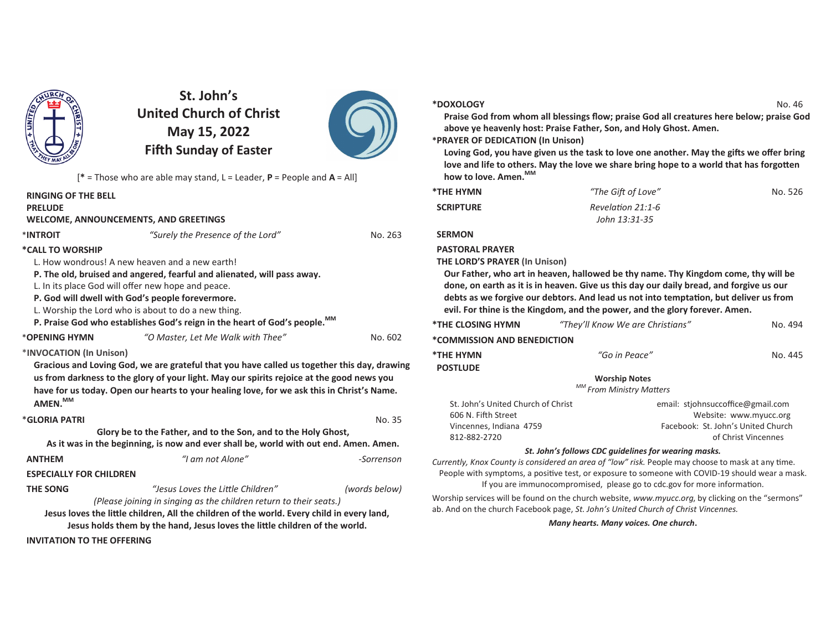

**St. John's United Church of ChristMay 15, 2022Fi!h Sunday of Easter**



[**\*** = Those who are able may stand, L = Leader, **P** = People and **A** = All]

| <b>RINGING OF THE BELL</b>         |                                                                                                                                                                                                                                                                                        |               |
|------------------------------------|----------------------------------------------------------------------------------------------------------------------------------------------------------------------------------------------------------------------------------------------------------------------------------------|---------------|
| <b>PRELUDE</b>                     |                                                                                                                                                                                                                                                                                        |               |
|                                    | <b>WELCOME, ANNOUNCEMENTS, AND GREETINGS</b>                                                                                                                                                                                                                                           |               |
| *INTROIT                           | "Surely the Presence of the Lord"                                                                                                                                                                                                                                                      | No. 263       |
| *CALL TO WORSHIP                   |                                                                                                                                                                                                                                                                                        |               |
|                                    | L. How wondrous! A new heaven and a new earth!                                                                                                                                                                                                                                         |               |
|                                    | P. The old, bruised and angered, fearful and alienated, will pass away.                                                                                                                                                                                                                |               |
|                                    | L. In its place God will offer new hope and peace.                                                                                                                                                                                                                                     |               |
|                                    | P. God will dwell with God's people forevermore.                                                                                                                                                                                                                                       |               |
|                                    | L. Worship the Lord who is about to do a new thing.                                                                                                                                                                                                                                    |               |
|                                    | P. Praise God who establishes God's reign in the heart of God's people. MM                                                                                                                                                                                                             |               |
| *OPENING HYMN                      | "O Master, Let Me Walk with Thee"                                                                                                                                                                                                                                                      | No. 602       |
| *INVOCATION (In Unison)<br>AMEN.MM | Gracious and Loving God, we are grateful that you have called us together this day, drawing<br>us from darkness to the glory of your light. May our spirits rejoice at the good news you<br>have for us today. Open our hearts to your healing love, for we ask this in Christ's Name. |               |
| *GLORIA PATRI                      |                                                                                                                                                                                                                                                                                        | No. 35        |
|                                    | Glory be to the Father, and to the Son, and to the Holy Ghost,                                                                                                                                                                                                                         |               |
|                                    | As it was in the beginning, is now and ever shall be, world with out end. Amen. Amen.                                                                                                                                                                                                  |               |
| <b>ANTHEM</b>                      | "I am not Alone"                                                                                                                                                                                                                                                                       | -Sorrenson    |
| <b>ESPECIALLY FOR CHILDREN</b>     |                                                                                                                                                                                                                                                                                        |               |
| <b>THE SONG</b>                    | "Jesus Loves the Little Children"                                                                                                                                                                                                                                                      | (words below) |
|                                    | (Please joining in singing as the children return to their seats.)                                                                                                                                                                                                                     |               |
|                                    | Jesus loves the little children, All the children of the world. Every child in every land,<br>Jesus holds them by the hand, Jesus loves the little children of the world.                                                                                                              |               |
|                                    |                                                                                                                                                                                                                                                                                        |               |
| <b>INVITATION TO THE OFFERING</b>  |                                                                                                                                                                                                                                                                                        |               |

#### **\*DOXOLOGY**

No. 46 **Praise God from whom all blessings flow; praise God all creatures here below; praise God above ye heavenly host: Praise Father, Son, and Holy Ghost. Amen.**

### **\*PRAYER OF DEDICATION (In Unison)**

Loving God, you have given us the task to love one another. May the gifts we offer bring love and life to others. May the love we share bring hope to a world that has forgotten **how to love. Amen.MM**

| *THE HYMN        | "The Gift of Love" | No. 526 |
|------------------|--------------------|---------|
| <b>SCRIPTURE</b> | Revelation 21:1-6  |         |
|                  | John 13:31-35      |         |

### **SERMON**

### **PASTORAL PRAYER**

### **THE LORD'S PRAYER (In Unison)**

**Our Father, who art in heaven, hallowed be thy name. Thy Kingdom come, thy will be done, on earth as it is in heaven. Give us this day our daily bread, and forgive us our** debts as we forgive our debtors. And lead us not into temptation, but deliver us from **evil. For thine is the Kingdom, and the power, and the glory forever. Amen.**

| *THE CLOSING HYMN                  | "They'll Know We are Christians" | No. 494                           |
|------------------------------------|----------------------------------|-----------------------------------|
| *COMMISSION AND BENEDICTION        |                                  |                                   |
| *THE HYMN                          | "Go in Peace"                    | No. 445                           |
| <b>POSTLUDE</b>                    |                                  |                                   |
|                                    | <b>Worship Notes</b>             |                                   |
|                                    | MM From Ministry Matters         |                                   |
| St. John's United Church of Christ |                                  | email: stjohnsuccoffice@gmail.com |

| St. John's United Church of Christ | email: stiohnsuccoffice@gmail.com  |
|------------------------------------|------------------------------------|
| 606 N. Fifth Street                | Website: www.myucc.org             |
| Vincennes. Indiana 4759            | Facebook: St. John's United Church |
| 812-882-2720                       | of Christ Vincennes                |
|                                    |                                    |

### *St. John's follows CDC guidelines for wearing masks.*

*Currently, Knox County is considered an area of "low" risk. People may choose to mask at any time.* People with symptoms, a positive test, or exposure to someone with COVID-19 should wear a mask. If you are immunocompromised, please go to cdc.gov for more information.

Worship services will be found on the church website, *www.myucc.org*, by clicking on the "sermons" ab. And on the church Facebook page, *St. John's United Church of Christ Vincennes.*

*Many hearts. Many voices. One church***.**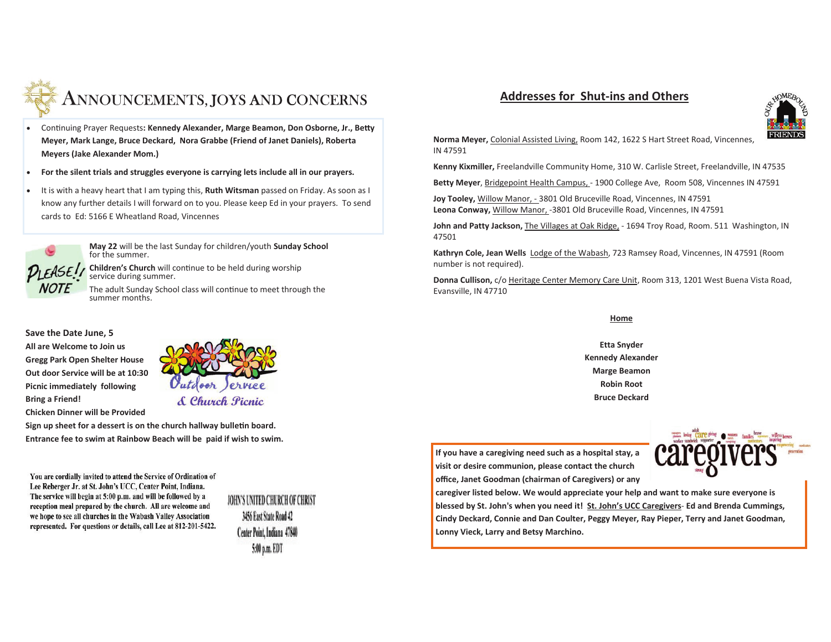

# ANNOUNCEMENTS, JOYS AND CONCERNS

- Continuing Prayer Requests: Kennedy Alexander, Marge Beamon, Don Osborne, Jr., Betty **Meyer, Mark Lange, Bruce Deckard, Nora Grabbe (Friend of Janet Daniels), Roberta Meyers (Jake Alexander Mom.)**
- · **For the silent trials and struggles everyone is carrying lets include all in our prayers.**
- · It is with a heavy heart that I am typing this, **Ruth Witsman** passed on Friday. As soon as I know any further details I will forward on to you. Please keep Ed in your prayers. To send cards to Ed: 5166 E Wheatland Road, Vincennes



**May 22** will be the last Sunday for children/youth **Sunday School**for the summer.

**Children's Church** will continue to be held during worship service during summer.

The adult Sunday School class will continue to meet through the summer months.

### **Save the Date June, 5**

**All are Welcome to Join us Gregg Park Open Shelter House Out door Service will be at 10:30 Picnic immediately following Bring a Friend!** 

**Chicken Dinner will be Provided** 



Sign up sheet for a dessert is on the church hallway bulletin board. **Entrance fee to swim at Rainbow Beach will be paid if wish to swim.** 

You are cordially invited to attend the Service of Ordination of Lee Reberger Jr. at St. John's UCC, Center Point, Indiana. The service will begin at 5:00 p.m. and will be followed by a reception meal prepared by the church. All are welcome and we hope to see all churches in the Wabash Valley Association represented. For questions or details, call Lee at 812-201-5422.

IOHN'S UNITED CHURCH OF CHRIST 3456 East State Road 42 Center Point, Indiana 47840 5:00 p.m. EDT

### **Addresses for Shut-ins and Others**



**Norma Meyer,** Colonial Assisted Living, Room 142, 1622 S Hart Street Road, Vincennes, IN 47591

**Kenny Kixmiller,** Freelandville Community Home, 310 W. Carlisle Street, Freelandville, IN 47535

Betty Meyer, Bridgepoint Health Campus, - 1900 College Ave, Room 508, Vincennes IN 47591

**Joy Tooley,** Willow Manor, - 3801 Old Bruceville Road, Vincennes, IN 47591**Leona Conway,** Willow Manor, -3801 Old Bruceville Road, Vincennes, IN 47591

**John and Patty Jackson,** The Villages at Oak Ridge, - 1694 Troy Road, Room. 511 Washington, IN 47501

**Kathryn Cole, Jean Wells** Lodge of the Wabash, 723 Ramsey Road, Vincennes, IN 47591 (Room number is not required).

**Donna Cullison,** c/o Heritage Center Memory Care Unit, Room 313, 1201 West Buena Vista Road,Evansville, IN 47710

#### **Home**

**Etta SnyderKennedy AlexanderMarge BeamonRobin RootBruce Deckard**

**If you have a caregiving need such as a hospital stay, a visit or desire communion, please contact the church office, Janet Goodman (chairman of Caregivers) or any**



 **caregiver listed below. We would appreciate your help and want to make sure everyone is blessed by St. John's when you need it! St. John's UCC Caregivers**- **Ed and Brenda Cummings, Cindy Deckard, Connie and Dan Coulter, Peggy Meyer, Ray Pieper, Terry and Janet Goodman, Lonny Vieck, Larry and Betsy Marchino.**